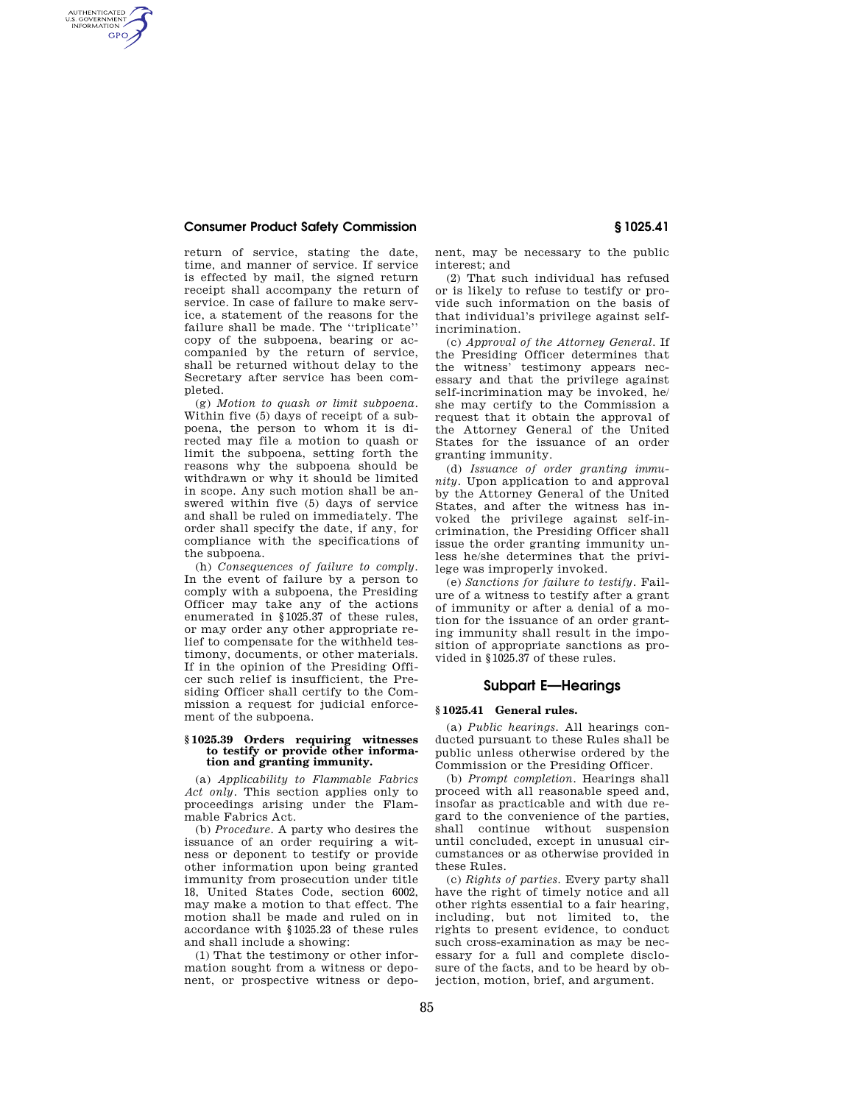## **Consumer Product Safety Commission § 1025.41**

AUTHENTICATED<br>U.S. GOVERNMENT<br>INFORMATION **GPO** 

> return of service, stating the date, time, and manner of service. If service is effected by mail, the signed return receipt shall accompany the return of service. In case of failure to make service, a statement of the reasons for the failure shall be made. The ''triplicate'' copy of the subpoena, bearing or accompanied by the return of service, shall be returned without delay to the Secretary after service has been completed.

> (g) *Motion to quash or limit subpoena.*  Within five (5) days of receipt of a subpoena, the person to whom it is directed may file a motion to quash or limit the subpoena, setting forth the reasons why the subpoena should be withdrawn or why it should be limited in scope. Any such motion shall be answered within five (5) days of service and shall be ruled on immediately. The order shall specify the date, if any, for compliance with the specifications of the subpoena.

> (h) *Consequences of failure to comply.*  In the event of failure by a person to comply with a subpoena, the Presiding Officer may take any of the actions enumerated in §1025.37 of these rules, or may order any other appropriate relief to compensate for the withheld testimony, documents, or other materials. If in the opinion of the Presiding Officer such relief is insufficient, the Presiding Officer shall certify to the Commission a request for judicial enforcement of the subpoena.

### **§ 1025.39 Orders requiring witnesses to testify or provide other information and granting immunity.**

(a) *Applicability to Flammable Fabrics Act only.* This section applies only to proceedings arising under the Flammable Fabrics Act.

(b) *Procedure.* A party who desires the issuance of an order requiring a witness or deponent to testify or provide other information upon being granted immunity from prosecution under title 18, United States Code, section 6002, may make a motion to that effect. The motion shall be made and ruled on in accordance with §1025.23 of these rules and shall include a showing:

(1) That the testimony or other information sought from a witness or deponent, or prospective witness or deponent, may be necessary to the public interest; and

(2) That such individual has refused or is likely to refuse to testify or provide such information on the basis of that individual's privilege against selfincrimination.

(c) *Approval of the Attorney General.* If the Presiding Officer determines that the witness' testimony appears necessary and that the privilege against self-incrimination may be invoked, he/ she may certify to the Commission a request that it obtain the approval of the Attorney General of the United States for the issuance of an order granting immunity.

(d) *Issuance of order granting immunity.* Upon application to and approval by the Attorney General of the United States, and after the witness has invoked the privilege against self-incrimination, the Presiding Officer shall issue the order granting immunity unless he/she determines that the privilege was improperly invoked.

(e) *Sanctions for failure to testify.* Failure of a witness to testify after a grant of immunity or after a denial of a motion for the issuance of an order granting immunity shall result in the imposition of appropriate sanctions as provided in §1025.37 of these rules.

# **Subpart E—Hearings**

### **§ 1025.41 General rules.**

(a) *Public hearings.* All hearings conducted pursuant to these Rules shall be public unless otherwise ordered by the Commission or the Presiding Officer.

(b) *Prompt completion.* Hearings shall proceed with all reasonable speed and, insofar as practicable and with due regard to the convenience of the parties, shall continue without suspension until concluded, except in unusual circumstances or as otherwise provided in these Rules.

(c) *Rights of parties.* Every party shall have the right of timely notice and all other rights essential to a fair hearing, including, but not limited to, the rights to present evidence, to conduct such cross-examination as may be necessary for a full and complete disclosure of the facts, and to be heard by objection, motion, brief, and argument.